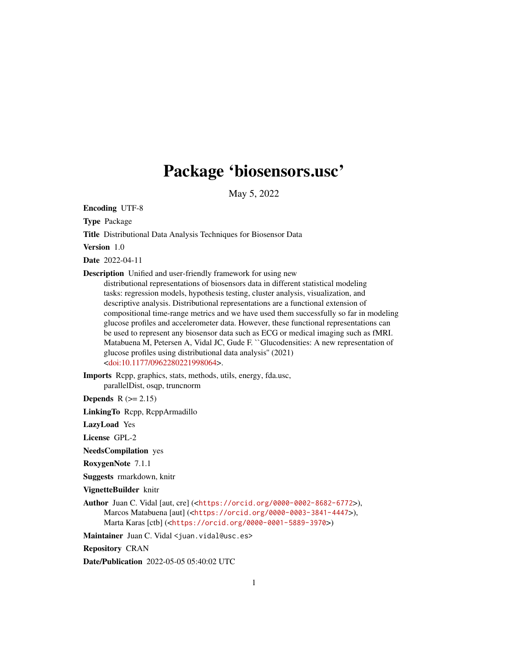## Package 'biosensors.usc'

May 5, 2022

Encoding UTF-8

Type Package

Title Distributional Data Analysis Techniques for Biosensor Data

Version 1.0

Date 2022-04-11

Description Unified and user-friendly framework for using new

distributional representations of biosensors data in different statistical modeling tasks: regression models, hypothesis testing, cluster analysis, visualization, and descriptive analysis. Distributional representations are a functional extension of compositional time-range metrics and we have used them successfully so far in modeling glucose profiles and accelerometer data. However, these functional representations can be used to represent any biosensor data such as ECG or medical imaging such as fMRI. Matabuena M, Petersen A, Vidal JC, Gude F. ``Glucodensities: A new representation of glucose profiles using distributional data analysis'' (2021) [<doi:10.1177/0962280221998064>](https://doi.org/10.1177/0962280221998064).

Imports Rcpp, graphics, stats, methods, utils, energy, fda.usc, parallelDist, osqp, truncnorm

**Depends**  $R$  ( $>= 2.15$ )

LinkingTo Rcpp, RcppArmadillo

LazyLoad Yes

License GPL-2

NeedsCompilation yes

RoxygenNote 7.1.1

Suggests rmarkdown, knitr

VignetteBuilder knitr

Author Juan C. Vidal [aut, cre] (<<https://orcid.org/0000-0002-8682-6772>>), Marcos Matabuena [aut] (<<https://orcid.org/0000-0003-3841-4447>>), Marta Karas [ctb] (<<https://orcid.org/0000-0001-5889-3970>>)

Maintainer Juan C. Vidal <juan.vidal@usc.es>

Repository CRAN

Date/Publication 2022-05-05 05:40:02 UTC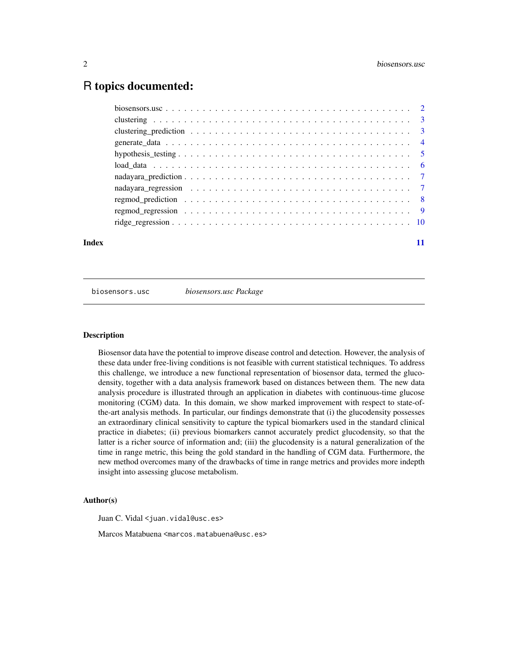### <span id="page-1-0"></span>R topics documented:

| Index |  |
|-------|--|

biosensors.usc *biosensors.usc Package*

#### Description

Biosensor data have the potential to improve disease control and detection. However, the analysis of these data under free-living conditions is not feasible with current statistical techniques. To address this challenge, we introduce a new functional representation of biosensor data, termed the glucodensity, together with a data analysis framework based on distances between them. The new data analysis procedure is illustrated through an application in diabetes with continuous-time glucose monitoring (CGM) data. In this domain, we show marked improvement with respect to state-ofthe-art analysis methods. In particular, our findings demonstrate that (i) the glucodensity possesses an extraordinary clinical sensitivity to capture the typical biomarkers used in the standard clinical practice in diabetes; (ii) previous biomarkers cannot accurately predict glucodensity, so that the latter is a richer source of information and; (iii) the glucodensity is a natural generalization of the time in range metric, this being the gold standard in the handling of CGM data. Furthermore, the new method overcomes many of the drawbacks of time in range metrics and provides more indepth insight into assessing glucose metabolism.

#### Author(s)

Juan C. Vidal <juan.vidal@usc.es>

Marcos Matabuena <marcos.matabuena@usc.es>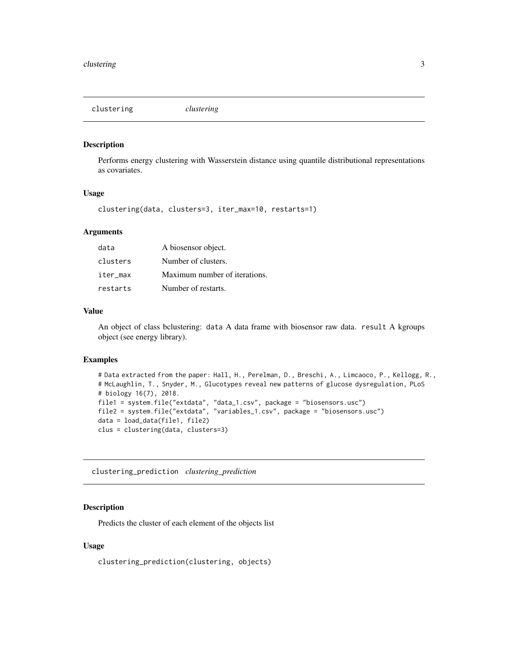<span id="page-2-0"></span>clustering *clustering*

#### Description

Performs energy clustering with Wasserstein distance using quantile distributional representations as covariates.

#### Usage

clustering(data, clusters=3, iter\_max=10, restarts=1)

#### Arguments

| data     | A biosensor object.           |
|----------|-------------------------------|
| clusters | Number of clusters.           |
| iter_max | Maximum number of iterations. |
| restarts | Number of restarts.           |

#### Value

An object of class bclustering: data A data frame with biosensor raw data. result A kgroups object (see energy library).

#### Examples

```
# Data extracted from the paper: Hall, H., Perelman, D., Breschi, A., Limcaoco, P., Kellogg, R.,
# McLaughlin, T., Snyder, M., Glucotypes reveal new patterns of glucose dysregulation, PLoS
# biology 16(7), 2018.
file1 = system.file("extdata", "data_1.csv", package = "biosensors.usc")
file2 = system.file("extdata", "variables_1.csv", package = "biosensors.usc")
data = load_data(file1, file2)
clus = clustering(data, clusters=3)
```
clustering\_prediction *clustering\_prediction*

#### Description

Predicts the cluster of each element of the objects list

#### Usage

clustering\_prediction(clustering, objects)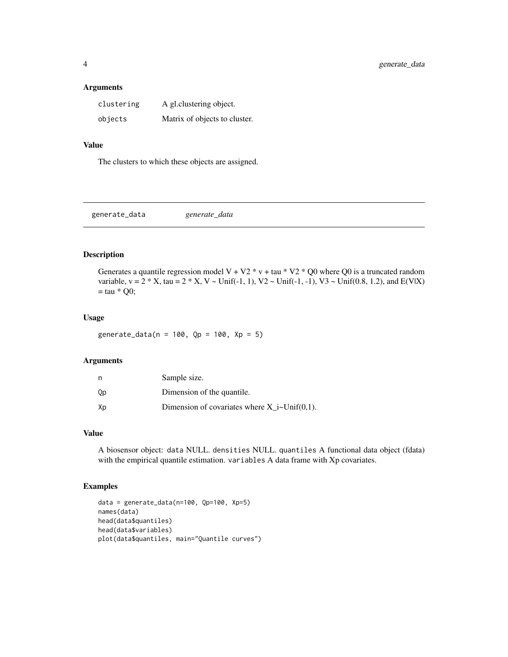#### <span id="page-3-0"></span>Arguments

| clustering | A gl.clustering object.       |
|------------|-------------------------------|
| objects    | Matrix of objects to cluster. |

#### Value

The clusters to which these objects are assigned.

generate\_data *generate\_data*

#### Description

Generates a quantile regression model V + V2  $*$  v + tau  $*$  V2  $*$  Q0 where Q0 is a truncated random variable,  $v = 2 * X$ , tau =  $2 * X$ ,  $V \sim Unif(-1, 1)$ ,  $V2 \sim Unif(-1, -1)$ ,  $V3 \sim Unif(0.8, 1.2)$ , and  $E(V|X)$  $=$  tau  $*$  Q0;

#### Usage

generate\_data(n = 100, Qp = 100, Xp = 5)

#### Arguments

| n  | Sample size.                                     |
|----|--------------------------------------------------|
| Qp | Dimension of the quantile.                       |
| Xp | Dimension of covariates where $X_i$ i~Unif(0,1). |

#### Value

A biosensor object: data NULL. densities NULL. quantiles A functional data object (fdata) with the empirical quantile estimation. variables A data frame with Xp covariates.

```
data = generate_data(n=100, Qp=100, Xp=5)
names(data)
head(data$quantiles)
head(data$variables)
plot(data$quantiles, main="Quantile curves")
```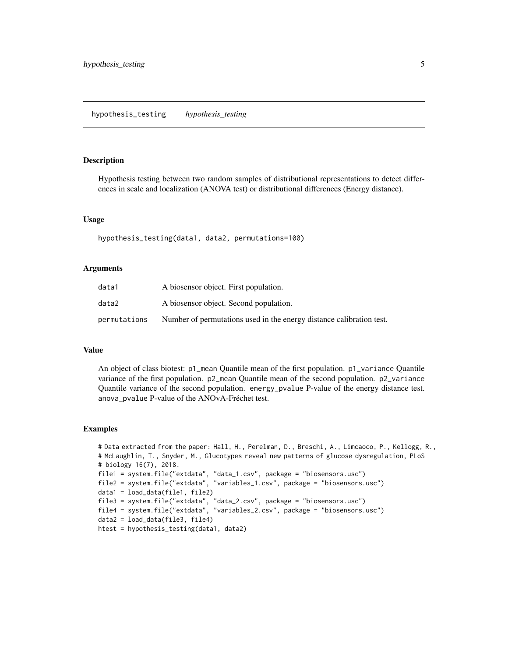#### <span id="page-4-0"></span>**Description**

Hypothesis testing between two random samples of distributional representations to detect differences in scale and localization (ANOVA test) or distributional differences (Energy distance).

#### Usage

hypothesis\_testing(data1, data2, permutations=100)

#### Arguments

| data1        | A biosensor object. First population.                                |
|--------------|----------------------------------------------------------------------|
| data2        | A biosensor object. Second population.                               |
| permutations | Number of permutations used in the energy distance calibration test. |

#### Value

An object of class biotest: p1\_mean Quantile mean of the first population. p1\_variance Quantile variance of the first population. p2\_mean Quantile mean of the second population. p2\_variance Quantile variance of the second population. energy\_pvalue P-value of the energy distance test. anova\_pvalue P-value of the ANOvA-Fréchet test.

```
# Data extracted from the paper: Hall, H., Perelman, D., Breschi, A., Limcaoco, P., Kellogg, R.,
# McLaughlin, T., Snyder, M., Glucotypes reveal new patterns of glucose dysregulation, PLoS
# biology 16(7), 2018.
file1 = system.file("extdata", "data_1.csv", package = "biosensors.usc")
file2 = system.file("extdata", "variables_1.csv", package = "biosensors.usc")
data1 = load_data(file1, file2)
file3 = system.file("extdata", "data_2.csv", package = "biosensors.usc")
file4 = system.file("extdata", "variables_2.csv", package = "biosensors.usc")
data2 = load_data(file3, file4)
htest = hypothesis_testing(data1, data2)
```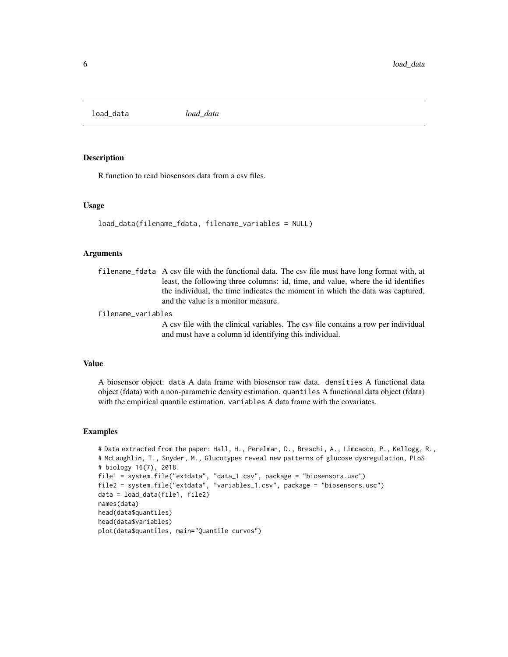<span id="page-5-0"></span>load\_data *load\_data*

#### Description

R function to read biosensors data from a csv files.

#### Usage

```
load_data(filename_fdata, filename_variables = NULL)
```
#### **Arguments**

filename\_fdata A csv file with the functional data. The csv file must have long format with, at least, the following three columns: id, time, and value, where the id identifies the individual, the time indicates the moment in which the data was captured, and the value is a monitor measure.

filename\_variables

A csv file with the clinical variables. The csv file contains a row per individual and must have a column id identifying this individual.

#### Value

A biosensor object: data A data frame with biosensor raw data. densities A functional data object (fdata) with a non-parametric density estimation. quantiles A functional data object (fdata) with the empirical quantile estimation. variables A data frame with the covariates.

```
# Data extracted from the paper: Hall, H., Perelman, D., Breschi, A., Limcaoco, P., Kellogg, R.,
# McLaughlin, T., Snyder, M., Glucotypes reveal new patterns of glucose dysregulation, PLoS
# biology 16(7), 2018.
file1 = system.file("extdata", "data_1.csv", package = "biosensors.usc")
file2 = system.file("extdata", "variables_1.csv", package = "biosensors.usc")
data = load_data(file1, file2)
names(data)
head(data$quantiles)
head(data$variables)
plot(data$quantiles, main="Quantile curves")
```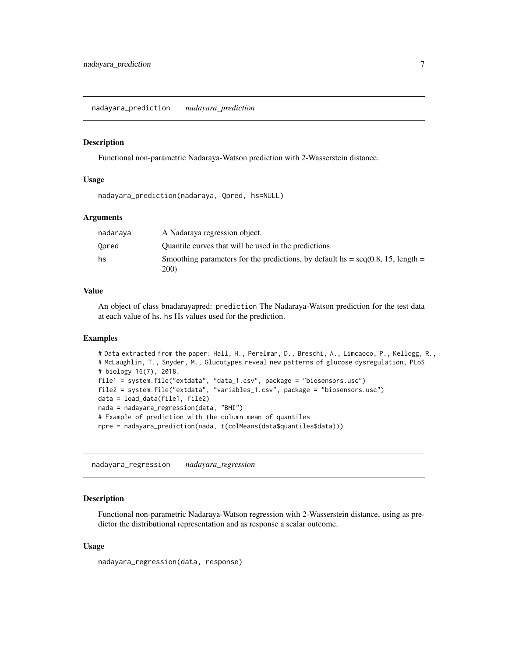<span id="page-6-0"></span>nadayara\_prediction *nadayara\_prediction*

#### **Description**

Functional non-parametric Nadaraya-Watson prediction with 2-Wasserstein distance.

#### Usage

nadayara\_prediction(nadaraya, Qpred, hs=NULL)

#### Arguments

| nadaraya | A Nadaraya regression object.                                                             |
|----------|-------------------------------------------------------------------------------------------|
| Opred    | Quantile curves that will be used in the predictions                                      |
| hs       | Smoothing parameters for the predictions, by default hs = $seq(0.8, 15, length =$<br>200) |

#### Value

An object of class bnadarayapred: prediction The Nadaraya-Watson prediction for the test data at each value of hs. hs Hs values used for the prediction.

#### Examples

```
# Data extracted from the paper: Hall, H., Perelman, D., Breschi, A., Limcaoco, P., Kellogg, R.,
# McLaughlin, T., Snyder, M., Glucotypes reveal new patterns of glucose dysregulation, PLoS
# biology 16(7), 2018.
file1 = system.file("extdata", "data_1.csv", package = "biosensors.usc")
file2 = system.file("extdata", "variables_1.csv", package = "biosensors.usc")
data = load_data(file1, file2)
nada = nadayara_regression(data, "BMI")
# Example of prediction with the column mean of quantiles
npre = nadayara_prediction(nada, t(colMeans(data$quantiles$data)))
```
nadayara\_regression *nadayara\_regression*

#### **Description**

Functional non-parametric Nadaraya-Watson regression with 2-Wasserstein distance, using as predictor the distributional representation and as response a scalar outcome.

#### Usage

nadayara\_regression(data, response)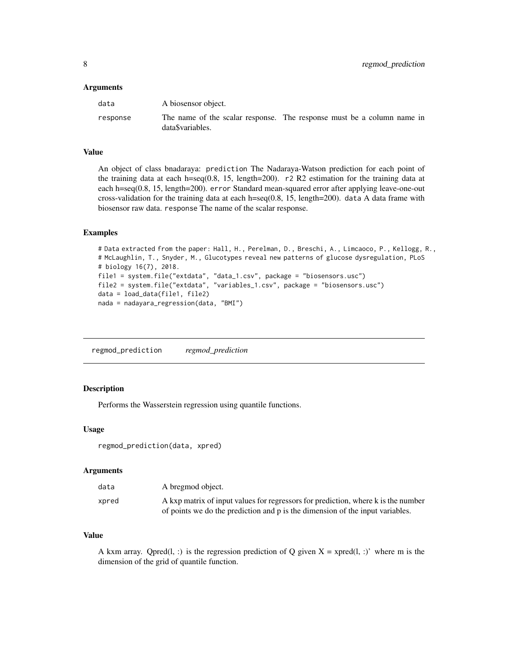#### <span id="page-7-0"></span>Arguments

| data     | A biosensor object.                                                                       |  |  |
|----------|-------------------------------------------------------------------------------------------|--|--|
| response | The name of the scalar response. The response must be a column name in<br>dataSvariables. |  |  |

#### Value

An object of class bnadaraya: prediction The Nadaraya-Watson prediction for each point of the training data at each h=seq(0.8, 15, length=200).  $r2$  R2 estimation for the training data at each h=seq(0.8, 15, length=200). error Standard mean-squared error after applying leave-one-out cross-validation for the training data at each  $h=seq(0.8, 15, length=200)$ . data A data frame with biosensor raw data. response The name of the scalar response.

#### Examples

```
# Data extracted from the paper: Hall, H., Perelman, D., Breschi, A., Limcaoco, P., Kellogg, R.,
# McLaughlin, T., Snyder, M., Glucotypes reveal new patterns of glucose dysregulation, PLoS
# biology 16(7), 2018.
file1 = system.file("extdata", "data_1.csv", package = "biosensors.usc")
file2 = system.file("extdata", "variables_1.csv", package = "biosensors.usc")
data = load_data(file1, file2)
nada = nadayara_regression(data, "BMI")
```
regmod\_prediction *regmod\_prediction*

#### Description

Performs the Wasserstein regression using quantile functions.

#### Usage

regmod\_prediction(data, xpred)

#### Arguments

| data  | A bregmod object.                                                                 |
|-------|-----------------------------------------------------------------------------------|
| xpred | A kxp matrix of input values for regressors for prediction, where k is the number |
|       | of points we do the prediction and p is the dimension of the input variables.     |

#### Value

A kxm array. Qpred(l, :) is the regression prediction of Q given  $X = xpred(l, :)'$  where m is the dimension of the grid of quantile function.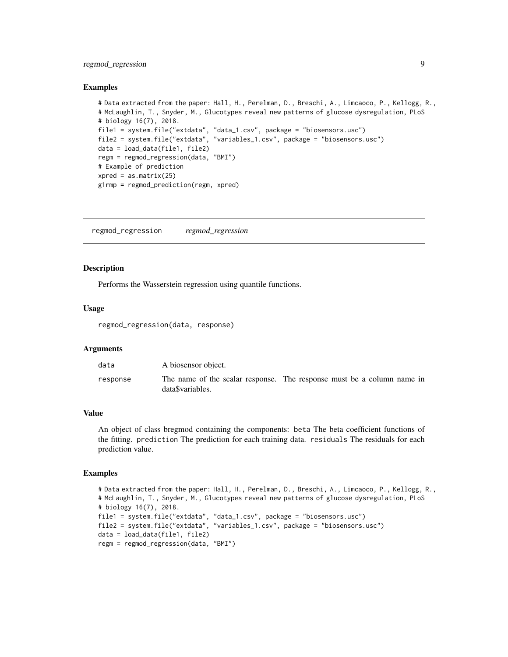#### <span id="page-8-0"></span>regmod\_regression 9

#### Examples

```
# Data extracted from the paper: Hall, H., Perelman, D., Breschi, A., Limcaoco, P., Kellogg, R.,
# McLaughlin, T., Snyder, M., Glucotypes reveal new patterns of glucose dysregulation, PLoS
# biology 16(7), 2018.
file1 = system.file("extdata", "data_1.csv", package = "biosensors.usc")
file2 = system.file("extdata", "variables_1.csv", package = "biosensors.usc")
data = load_data(file1, file2)
regm = regmod_regression(data, "BMI")
# Example of prediction
xpred = as_matrix(25)g1rmp = regmod_prediction(regm, xpred)
```
regmod\_regression *regmod\_regression*

#### **Description**

Performs the Wasserstein regression using quantile functions.

#### Usage

regmod\_regression(data, response)

#### **Arguments**

| data     | A biosensor object.                                                                        |  |  |
|----------|--------------------------------------------------------------------------------------------|--|--|
| response | The name of the scalar response. The response must be a column name in<br>data\$variables. |  |  |

#### Value

An object of class bregmod containing the components: beta The beta coefficient functions of the fitting. prediction The prediction for each training data. residuals The residuals for each prediction value.

```
# Data extracted from the paper: Hall, H., Perelman, D., Breschi, A., Limcaoco, P., Kellogg, R.,
# McLaughlin, T., Snyder, M., Glucotypes reveal new patterns of glucose dysregulation, PLoS
# biology 16(7), 2018.
file1 = system.file("extdata", "data_1.csv", package = "biosensors.usc")
file2 = system.file("extdata", "variables_1.csv", package = "biosensors.usc")
data = load_data(file1, file2)
regm = regmod_regression(data, "BMI")
```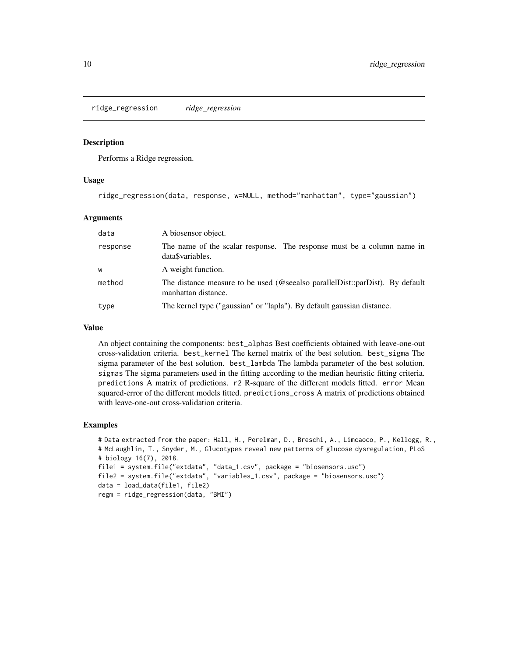<span id="page-9-0"></span>ridge\_regression *ridge\_regression*

#### Description

Performs a Ridge regression.

#### Usage

ridge\_regression(data, response, w=NULL, method="manhattan", type="gaussian")

#### Arguments

| data     | A biosensor object.                                                                                 |
|----------|-----------------------------------------------------------------------------------------------------|
| response | The name of the scalar response. The response must be a column name in<br>data\$variables.          |
| W        | A weight function.                                                                                  |
| method   | The distance measure to be used (@seealso parallelDist::parDist). By default<br>manhattan distance. |
| type     | The kernel type ("gaussian" or "lapla"). By default gaussian distance.                              |

#### Value

An object containing the components: best\_alphas Best coefficients obtained with leave-one-out cross-validation criteria. best\_kernel The kernel matrix of the best solution. best\_sigma The sigma parameter of the best solution. best\_lambda The lambda parameter of the best solution. sigmas The sigma parameters used in the fitting according to the median heuristic fitting criteria. predictions A matrix of predictions. r2 R-square of the different models fitted. error Mean squared-error of the different models fitted. predictions\_cross A matrix of predictions obtained with leave-one-out cross-validation criteria.

```
# Data extracted from the paper: Hall, H., Perelman, D., Breschi, A., Limcaoco, P., Kellogg, R.,
# McLaughlin, T., Snyder, M., Glucotypes reveal new patterns of glucose dysregulation, PLoS
# biology 16(7), 2018.
file1 = system.file("extdata", "data_1.csv", package = "biosensors.usc")
file2 = system.file("extdata", "variables_1.csv", package = "biosensors.usc")
data = load_data(file1, file2)
regm = ridge_regression(data, "BMI")
```